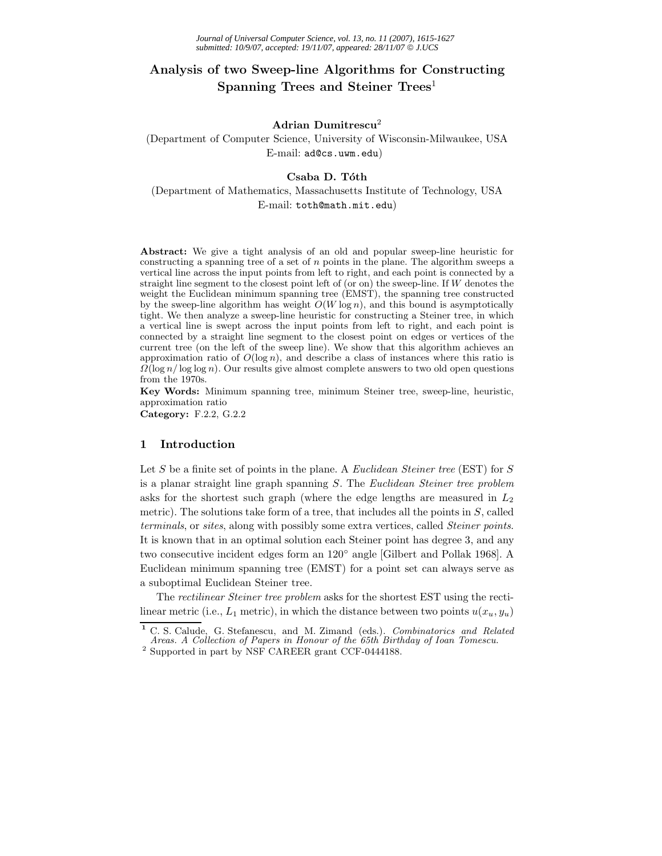# **Analysis of two Sweep-line Algorithms for Constructing Spanning Trees and Steiner Trees**<sup>1</sup>

# **Adrian Dumitrescu**2

(Department of Computer Science, University of Wisconsin-Milwaukee, USA E-mail: ad@cs.uwm.edu)

## Csaba D. Tóth

(Department of Mathematics, Massachusetts Institute of Technology, USA E-mail: toth@math.mit.edu)

**Abstract:** We give a tight analysis of an old and popular sweep-line heuristic for constructing a spanning tree of a set of n points in the plane. The algorithm sweeps a vertical line across the input points from left to right, and each point is connected by a straight line segment to the closest point left of (or on) the sweep-line. If W denotes the weight the Euclidean minimum spanning tree (EMST), the spanning tree constructed by the sweep-line algorithm has weight  $O(W \log n)$ , and this bound is asymptotically tight. We then analyze a sweep-line heuristic for constructing a Steiner tree, in which a vertical line is swept across the input points from left to right, and each point is connected by a straight line segment to the closest point on edges or vertices of the current tree (on the left of the sweep line). We show that this algorithm achieves an approximation ratio of  $O(\log n)$ , and describe a class of instances where this ratio is  $\Omega(\log n/\log \log n)$ . Our results give almost complete answers to two old open questions from the 1970s.

**Key Words:** Minimum spanning tree, minimum Steiner tree, sweep-line, heuristic, approximation ratio

**Category:** F.2.2, G.2.2

## **1 Introduction**

Let S be a finite set of points in the plane. A *Euclidean Steiner tree* (EST) for S is a planar straight line graph spanning S. The *Euclidean Steiner tree problem* asks for the shortest such graph (where the edge lengths are measured in  $L_2$ ) metric). The solutions take form of a tree, that includes all the points in  $S$ , called *terminals*, or *sites*, along with possibly some extra vertices, called *Steiner points*. It is known that in an optimal solution each Steiner point has degree 3, and any two consecutive incident edges form an 120◦ angle [Gilbert and Pollak 1968]. A Euclidean minimum spanning tree (EMST) for a point set can always serve as a suboptimal Euclidean Steiner tree.

The *rectilinear Steiner tree problem* asks for the shortest EST using the rectilinear metric (i.e.,  $L_1$  metric), in which the distance between two points  $u(x_u, y_u)$ 

**<sup>1</sup>** C. S. Calude, G. Stefanescu, and M. Zimand (eds.). *Combinatorics and Related Areas. A Collection of Papers in Honour of the 65th Birthday of Ioan Tomescu.*

 $^{\rm 2}$  Supported in part by NSF CAREER grant CCF-0444188.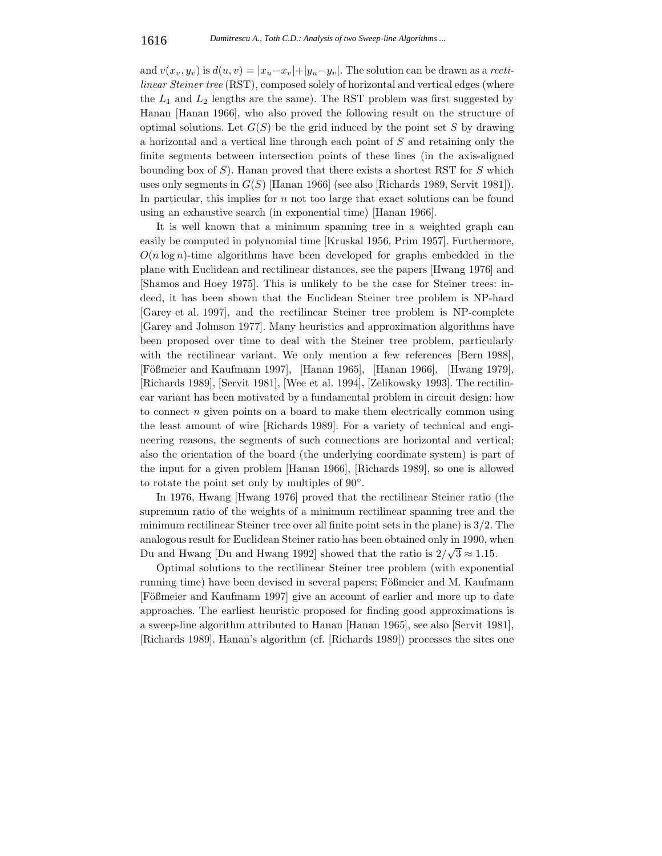and  $v(x_v, y_v)$  is  $d(u, v) = |x_u - x_v| + |y_u - y_v|$ . The solution can be drawn as a *rectilinear Steiner tree* (RST), composed solely of horizontal and vertical edges (where the  $L_1$  and  $L_2$  lengths are the same). The RST problem was first suggested by Hanan [Hanan 1966], who also proved the following result on the structure of optimal solutions. Let  $G(S)$  be the grid induced by the point set S by drawing a horizontal and a vertical line through each point of S and retaining only the finite segments between intersection points of these lines (in the axis-aligned bounding box of  $S$ ). Hanan proved that there exists a shortest RST for  $S$  which uses only segments in  $G(S)$  [Hanan 1966] (see also [Richards 1989, Servit 1981]). In particular, this implies for n not too large that exact solutions can be found using an exhaustive search (in exponential time) [Hanan 1966].

It is well known that a minimum spanning tree in a weighted graph can easily be computed in polynomial time [Kruskal 1956, Prim 1957]. Furthermore,  $O(n \log n)$ -time algorithms have been developed for graphs embedded in the plane with Euclidean and rectilinear distances, see the papers [Hwang 1976] and [Shamos and Hoey 1975]. This is unlikely to be the case for Steiner trees: indeed, it has been shown that the Euclidean Steiner tree problem is NP-hard [Garey et al. 1997], and the rectilinear Steiner tree problem is NP-complete [Garey and Johnson 1977]. Many heuristics and approximation algorithms have been proposed over time to deal with the Steiner tree problem, particularly with the rectilinear variant. We only mention a few references [Bern 1988], [Fößmeier and Kaufmann 1997], [Hanan 1965], [Hanan 1966], [Hwang 1979], [Richards 1989], [Servit 1981], [Wee et al. 1994], [Zelikowsky 1993]. The rectilinear variant has been motivated by a fundamental problem in circuit design: how to connect  $n$  given points on a board to make them electrically common using the least amount of wire [Richards 1989]. For a variety of technical and engineering reasons, the segments of such connections are horizontal and vertical; also the orientation of the board (the underlying coordinate system) is part of the input for a given problem [Hanan 1966], [Richards 1989], so one is allowed to rotate the point set only by multiples of 90◦.

In 1976, Hwang [Hwang 1976] proved that the rectilinear Steiner ratio (the supremum ratio of the weights of a minimum rectilinear spanning tree and the minimum rectilinear Steiner tree over all finite point sets in the plane) is 3/2. The analogous result for Euclidean Steiner ratio has been obtained only in 1990, when Du and Hwang [Du and Hwang 1992] showed that the ratio is  $2/\sqrt{3} \approx 1.15$ .

Optimal solutions to the rectilinear Steiner tree problem (with exponential running time) have been devised in several papers; Fößmeier and M. Kaufmann [Fößmeier and Kaufmann 1997] give an account of earlier and more up to date approaches. The earliest heuristic proposed for finding good approximations is a sweep-line algorithm attributed to Hanan [Hanan 1965], see also [Servit 1981], [Richards 1989]. Hanan's algorithm (cf. [Richards 1989]) processes the sites one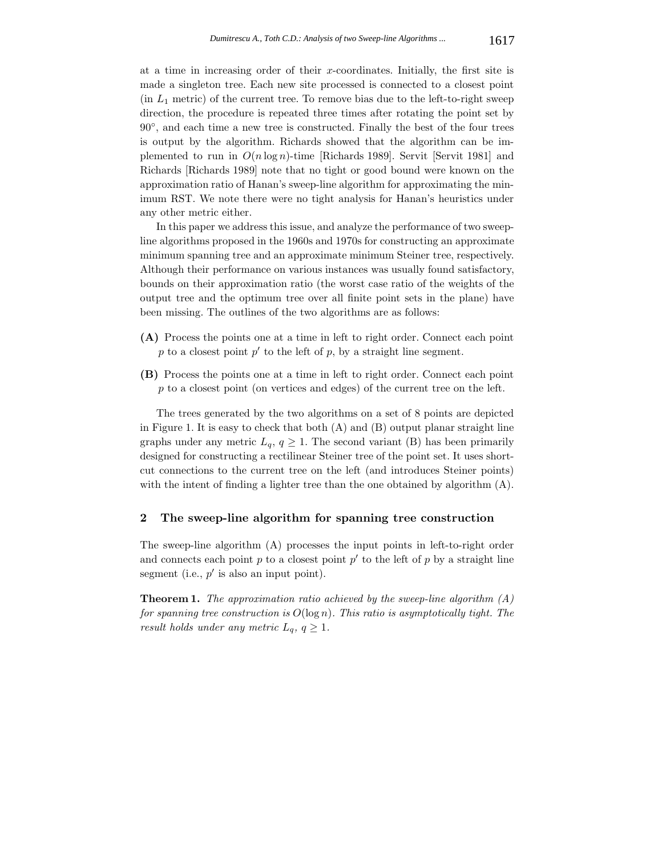at a time in increasing order of their  $x$ -coordinates. Initially, the first site is made a singleton tree. Each new site processed is connected to a closest point  $(in L<sub>1</sub> metric)$  of the current tree. To remove bias due to the left-to-right sweep direction, the procedure is repeated three times after rotating the point set by 90◦, and each time a new tree is constructed. Finally the best of the four trees is output by the algorithm. Richards showed that the algorithm can be implemented to run in  $O(n \log n)$ -time [Richards 1989]. Servit [Servit 1981] and Richards [Richards 1989] note that no tight or good bound were known on the approximation ratio of Hanan's sweep-line algorithm for approximating the minimum RST. We note there were no tight analysis for Hanan's heuristics under any other metric either.

In this paper we address this issue, and analyze the performance of two sweepline algorithms proposed in the 1960s and 1970s for constructing an approximate minimum spanning tree and an approximate minimum Steiner tree, respectively. Although their performance on various instances was usually found satisfactory, bounds on their approximation ratio (the worst case ratio of the weights of the output tree and the optimum tree over all finite point sets in the plane) have been missing. The outlines of the two algorithms are as follows:

- **(A)** Process the points one at a time in left to right order. Connect each point p to a closest point  $p'$  to the left of p, by a straight line segment.
- **(B)** Process the points one at a time in left to right order. Connect each point p to a closest point (on vertices and edges) of the current tree on the left.

The trees generated by the two algorithms on a set of 8 points are depicted in Figure 1. It is easy to check that both (A) and (B) output planar straight line graphs under any metric  $L_q$ ,  $q \geq 1$ . The second variant (B) has been primarily designed for constructing a rectilinear Steiner tree of the point set. It uses shortcut connections to the current tree on the left (and introduces Steiner points) with the intent of finding a lighter tree than the one obtained by algorithm  $(A)$ .

## **2 The sweep-line algorithm for spanning tree construction**

The sweep-line algorithm (A) processes the input points in left-to-right order and connects each point p to a closest point  $p'$  to the left of p by a straight line segment (i.e.,  $p'$  is also an input point).

**Theorem 1.** *The approximation ratio achieved by the sweep-line algorithm (A) for spanning tree construction is* O(log n)*. This ratio is asymptotically tight. The result holds under any metric*  $L_q$ ,  $q \geq 1$ .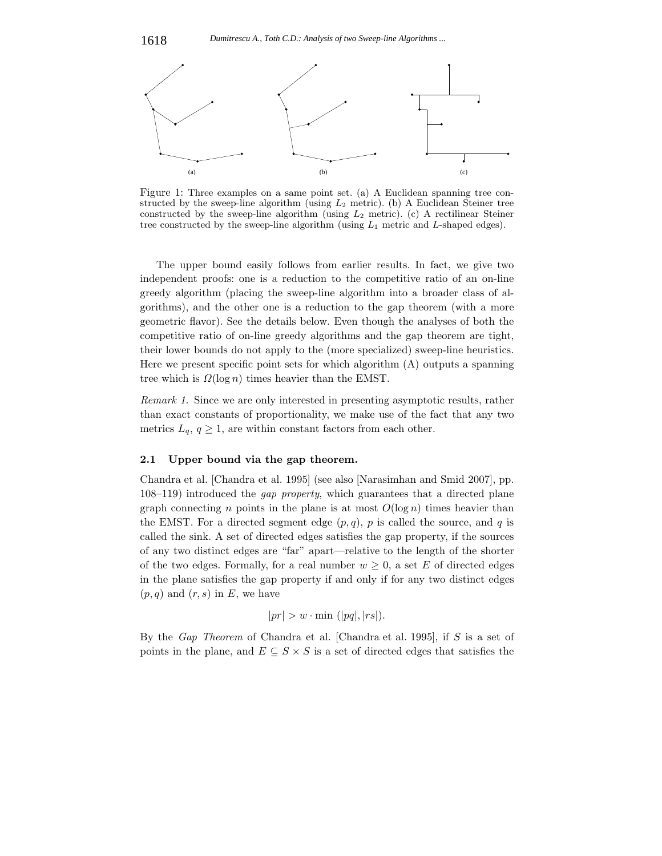

Figure 1: Three examples on a same point set. (a) A Euclidean spanning tree constructed by the sweep-line algorithm (using  $L_2$  metric). (b) A Euclidean Steiner tree constructed by the sweep-line algorithm (using  $L_2$  metric). (c) A rectilinear Steiner tree constructed by the sweep-line algorithm (using  $L_1$  metric and  $L$ -shaped edges).

The upper bound easily follows from earlier results. In fact, we give two independent proofs: one is a reduction to the competitive ratio of an on-line greedy algorithm (placing the sweep-line algorithm into a broader class of algorithms), and the other one is a reduction to the gap theorem (with a more geometric flavor). See the details below. Even though the analyses of both the competitive ratio of on-line greedy algorithms and the gap theorem are tight, their lower bounds do not apply to the (more specialized) sweep-line heuristics. Here we present specific point sets for which algorithm (A) outputs a spanning tree which is  $\Omega(\log n)$  times heavier than the EMST.

*Remark 1.* Since we are only interested in presenting asymptotic results, rather than exact constants of proportionality, we make use of the fact that any two metrics  $L_q$ ,  $q \geq 1$ , are within constant factors from each other.

#### **2.1 Upper bound via the gap theorem.**

Chandra et al. [Chandra et al. 1995] (see also [Narasimhan and Smid 2007], pp. 108–119) introduced the *gap property*, which guarantees that a directed plane graph connecting n points in the plane is at most  $O(\log n)$  times heavier than the EMST. For a directed segment edge  $(p, q)$ , p is called the source, and q is called the sink. A set of directed edges satisfies the gap property, if the sources of any two distinct edges are "far" apart—relative to the length of the shorter of the two edges. Formally, for a real number  $w \geq 0$ , a set E of directed edges in the plane satisfies the gap property if and only if for any two distinct edges  $(p, q)$  and  $(r, s)$  in E, we have

$$
|pr| > w \cdot \min \ (|pq|,|rs|).
$$

By the *Gap Theorem* of Chandra et al. [Chandra et al. 1995], if S is a set of points in the plane, and  $E \subseteq S \times S$  is a set of directed edges that satisfies the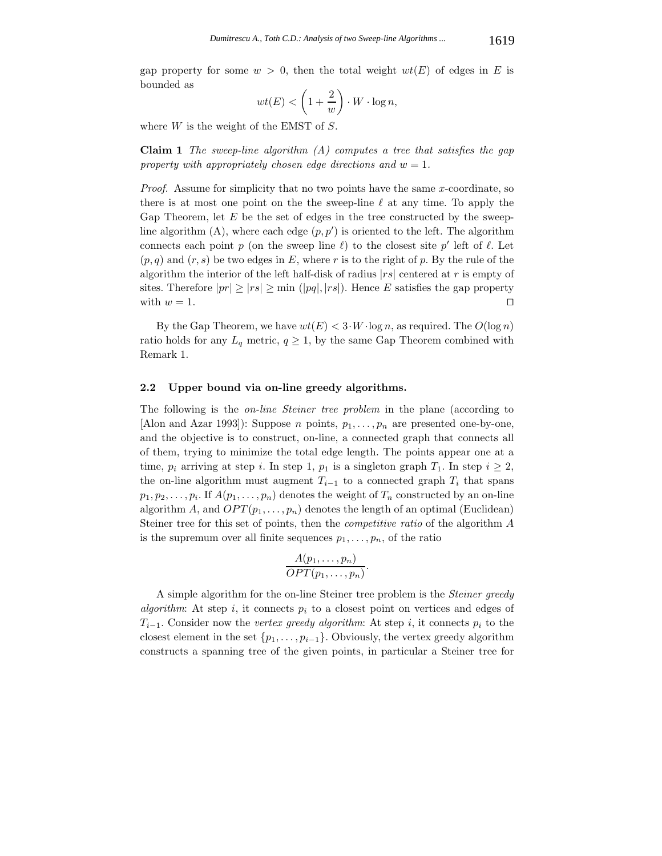gap property for some  $w > 0$ , then the total weight  $wt(E)$  of edges in E is bounded as

$$
wt(E) < \left(1 + \frac{2}{w}\right) \cdot W \cdot \log n,
$$

where  $W$  is the weight of the EMST of  $S$ .

**Claim 1** *The sweep-line algorithm (A) computes a tree that satisfies the gap property with appropriately chosen edge directions and*  $w = 1$ .

*Proof.* Assume for simplicity that no two points have the same x-coordinate, so there is at most one point on the the sweep-line  $\ell$  at any time. To apply the Gap Theorem, let  $E$  be the set of edges in the tree constructed by the sweepline algorithm  $(A)$ , where each edge  $(p, p')$  is oriented to the left. The algorithm connects each point p (on the sweep line  $\ell$ ) to the closest site p' left of  $\ell$ . Let  $(p, q)$  and  $(r, s)$  be two edges in E, where r is to the right of p. By the rule of the algorithm the interior of the left half-disk of radius  $|rs|$  centered at r is empty of sites. Therefore  $|pr| \ge |rs| \ge \min (|pq|, |rs|)$ . Hence E satisfies the gap property with  $w = 1$ . with  $w = 1$ .

By the Gap Theorem, we have  $wt(E) < 3 \cdot W \cdot \log n$ , as required. The  $O(\log n)$ ratio holds for any  $L_q$  metric,  $q \geq 1$ , by the same Gap Theorem combined with Remark 1.

#### **2.2 Upper bound via on-line greedy algorithms.**

The following is the *on-line Steiner tree problem* in the plane (according to [Alon and Azar 1993]): Suppose *n* points,  $p_1, \ldots, p_n$  are presented one-by-one, and the objective is to construct, on-line, a connected graph that connects all of them, trying to minimize the total edge length. The points appear one at a time,  $p_i$  arriving at step i. In step 1,  $p_1$  is a singleton graph  $T_1$ . In step  $i \geq 2$ , the on-line algorithm must augment  $T_{i-1}$  to a connected graph  $T_i$  that spans  $p_1, p_2, \ldots, p_i$ . If  $A(p_1, \ldots, p_n)$  denotes the weight of  $T_n$  constructed by an on-line algorithm A, and  $OPT(p_1, \ldots, p_n)$  denotes the length of an optimal (Euclidean) Steiner tree for this set of points, then the *competitive ratio* of the algorithm A is the supremum over all finite sequences  $p_1, \ldots, p_n$ , of the ratio

$$
\frac{A(p_1,\ldots,p_n)}{OPT(p_1,\ldots,p_n)}.
$$

A simple algorithm for the on-line Steiner tree problem is the *Steiner greedy algorithm*: At step i, it connects  $p_i$  to a closest point on vertices and edges of  $T_{i-1}$ . Consider now the *vertex greedy algorithm*: At step *i*, it connects  $p_i$  to the closest element in the set  $\{p_1,\ldots,p_{i-1}\}$ . Obviously, the vertex greedy algorithm constructs a spanning tree of the given points, in particular a Steiner tree for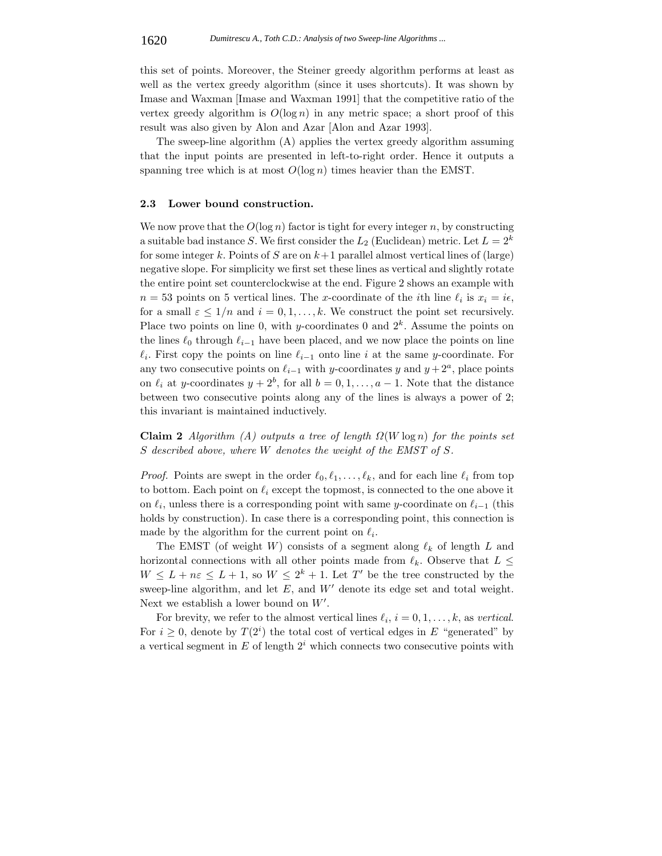this set of points. Moreover, the Steiner greedy algorithm performs at least as well as the vertex greedy algorithm (since it uses shortcuts). It was shown by Imase and Waxman [Imase and Waxman 1991] that the competitive ratio of the vertex greedy algorithm is  $O(\log n)$  in any metric space; a short proof of this result was also given by Alon and Azar [Alon and Azar 1993].

The sweep-line algorithm (A) applies the vertex greedy algorithm assuming that the input points are presented in left-to-right order. Hence it outputs a spanning tree which is at most  $O(\log n)$  times heavier than the EMST.

#### **2.3 Lower bound construction.**

We now prove that the  $O(\log n)$  factor is tight for every integer n, by constructing a suitable bad instance S. We first consider the  $L_2$  (Euclidean) metric. Let  $L = 2^k$ for some integer k. Points of S are on  $k+1$  parallel almost vertical lines of (large) negative slope. For simplicity we first set these lines as vertical and slightly rotate the entire point set counterclockwise at the end. Figure 2 shows an example with  $n = 53$  points on 5 vertical lines. The x-coordinate of the *i*th line  $\ell_i$  is  $x_i = i\epsilon$ , for a small  $\varepsilon \leq 1/n$  and  $i = 0, 1, \ldots, k$ . We construct the point set recursively. Place two points on line 0, with y-coordinates 0 and  $2^k$ . Assume the points on the lines  $\ell_0$  through  $\ell_{i-1}$  have been placed, and we now place the points on line  $\ell_i$ . First copy the points on line  $\ell_{i-1}$  onto line i at the same y-coordinate. For any two consecutive points on  $\ell_{i-1}$  with y-coordinates y and  $y + 2^a$ , place points on  $\ell_i$  at y-coordinates  $y + 2^b$ , for all  $b = 0, 1, \ldots, a - 1$ . Note that the distance between two consecutive points along any of the lines is always a power of 2; this invariant is maintained inductively.

**Claim 2** *Algorithm (A) outputs a tree of length*  $\Omega(W \log n)$  *for the points set* S *described above, where* W *denotes the weight of the EMST of* S*.*

*Proof.* Points are swept in the order  $\ell_0, \ell_1, \ldots, \ell_k$ , and for each line  $\ell_i$  from top to bottom. Each point on  $\ell_i$  except the topmost, is connected to the one above it on  $\ell_i$ , unless there is a corresponding point with same y-coordinate on  $\ell_{i-1}$  (this holds by construction). In case there is a corresponding point, this connection is made by the algorithm for the current point on  $\ell_i$ .

The EMST (of weight W) consists of a segment along  $\ell_k$  of length L and horizontal connections with all other points made from  $\ell_k$ . Observe that  $L \leq$  $W \leq L + n\varepsilon \leq L + 1$ , so  $W \leq 2^k + 1$ . Let T' be the tree constructed by the sweep-line algorithm, and let  $E$ , and  $W'$  denote its edge set and total weight. Next we establish a lower bound on  $W'$ .

For brevity, we refer to the almost vertical lines  $\ell_i$ ,  $i = 0, 1, \ldots, k$ , as *vertical*. For  $i \geq 0$ , denote by  $T(2<sup>i</sup>)$  the total cost of vertical edges in E "generated" by a vertical segment in E of length 2*<sup>i</sup>* which connects two consecutive points with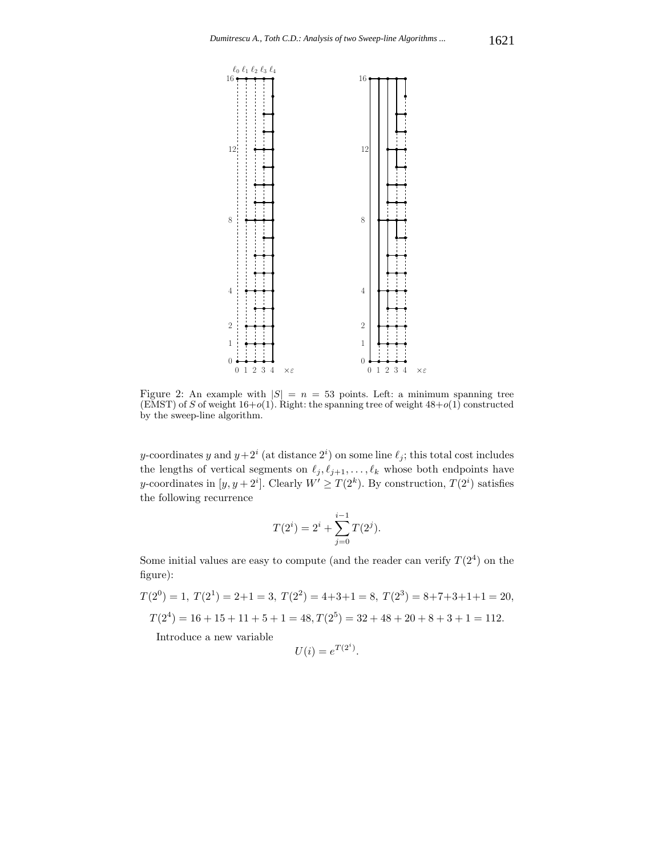

Figure 2: An example with  $|S| = n = 53$  points. Left: a minimum spanning tree (EMST) of S of weight  $16+o(1)$ . Right: the spanning tree of weight  $48+o(1)$  constructed by the sweep-line algorithm.

y-coordinates y and  $y+2^i$  (at distance  $2^i$ ) on some line  $\ell_j$ ; this total cost includes the lengths of vertical segments on  $\ell_j, \ell_{j+1}, \ldots, \ell_k$  whose both endpoints have y-coordinates in  $[y, y + 2^i]$ . Clearly  $W' \ge T(2^k)$ . By construction,  $T(2^i)$  satisfies the following recurrence

$$
T(2i) = 2i + \sum_{j=0}^{i-1} T(2j).
$$

Some initial values are easy to compute (and the reader can verify  $T(2^4)$ ) on the figure):

 $T(2^0)=1, T(2^1)=2+1=3, T(2^2)=4+3+1=8, T(2^3)=8+7+3+1+1=20,$  $T(2^4) = 16 + 15 + 11 + 5 + 1 = 48,$   $T(2^5) = 32 + 48 + 20 + 8 + 3 + 1 = 112.$ 

Introduce a new variable

$$
U(i) = e^{T(2^i)}.
$$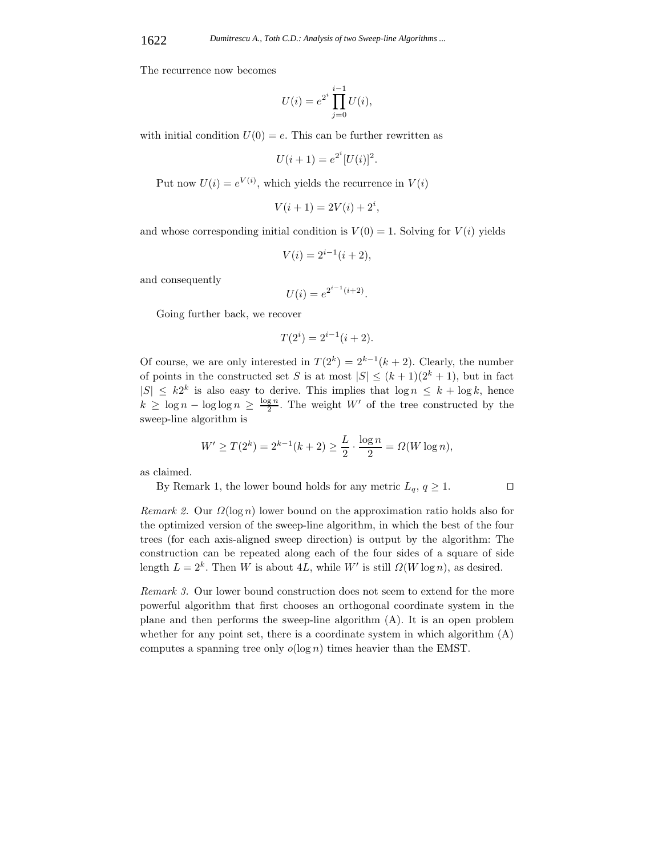The recurrence now becomes

$$
U(i) = e^{2^i} \prod_{j=0}^{i-1} U(i),
$$

with initial condition  $U(0) = e$ . This can be further rewritten as

$$
U(i + 1) = e^{2^{i}} [U(i)]^{2}.
$$

Put now  $U(i) = e^{V(i)}$ , which yields the recurrence in  $V(i)$ 

$$
V(i+1) = 2V(i) + 2^i,
$$

and whose corresponding initial condition is  $V(0) = 1$ . Solving for  $V(i)$  yields

$$
V(i) = 2^{i-1}(i+2),
$$

and consequently

$$
U(i) = e^{2^{i-1}(i+2)}.
$$

Going further back, we recover

$$
T(2^i) = 2^{i-1}(i+2).
$$

Of course, we are only interested in  $T(2^k)=2^{k-1}(k+2)$ . Clearly, the number of points in the constructed set S is at most  $|S| \leq (k+1)(2^k+1)$ , but in fact  $|S| \leq k2^k$  is also easy to derive. This implies that  $\log n \leq k + \log k$ , hence  $k \geq \log n - \log \log n \geq \frac{\log n}{2}$ . The weight W' of the tree constructed by the sweep-line algorithm is

$$
W' \ge T(2^k) = 2^{k-1}(k+2) \ge \frac{L}{2} \cdot \frac{\log n}{2} = \Omega(W \log n),
$$

as claimed.

By Remark 1, the lower bound holds for any metric  $L_q$ ,  $q \ge 1$ .

*Remark 2.* Our  $\Omega(\log n)$  lower bound on the approximation ratio holds also for the optimized version of the sweep-line algorithm, in which the best of the four trees (for each axis-aligned sweep direction) is output by the algorithm: The construction can be repeated along each of the four sides of a square of side length  $L = 2<sup>k</sup>$ . Then W is about 4L, while W' is still  $\Omega(W \log n)$ , as desired.

*Remark 3.* Our lower bound construction does not seem to extend for the more powerful algorithm that first chooses an orthogonal coordinate system in the plane and then performs the sweep-line algorithm (A). It is an open problem whether for any point set, there is a coordinate system in which algorithm  $(A)$ computes a spanning tree only  $o(\log n)$  times heavier than the EMST.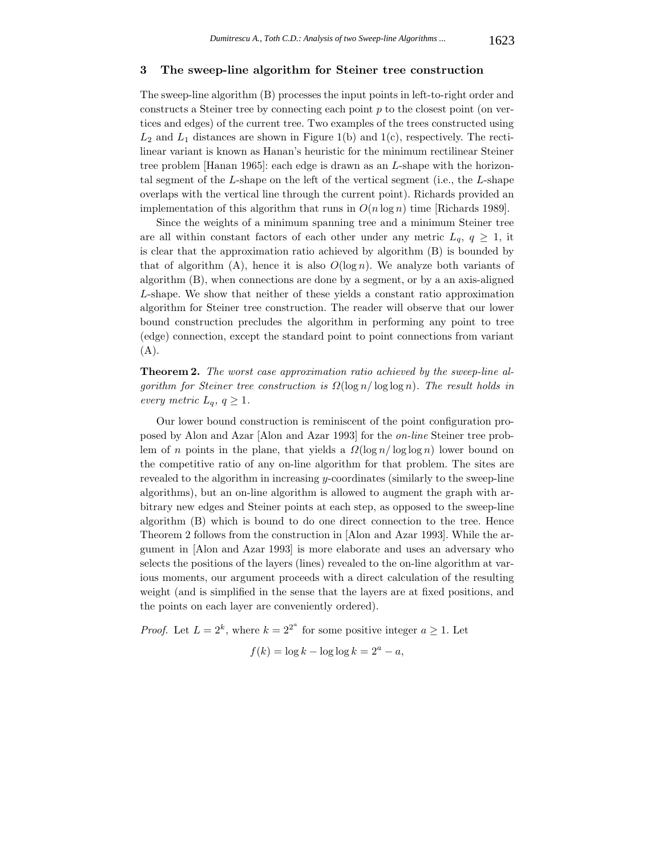#### **3 The sweep-line algorithm for Steiner tree construction**

The sweep-line algorithm (B) processes the input points in left-to-right order and constructs a Steiner tree by connecting each point  $p$  to the closest point (on vertices and edges) of the current tree. Two examples of the trees constructed using  $L_2$  and  $L_1$  distances are shown in Figure 1(b) and 1(c), respectively. The rectilinear variant is known as Hanan's heuristic for the minimum rectilinear Steiner tree problem [Hanan 1965]: each edge is drawn as an L-shape with the horizontal segment of the L-shape on the left of the vertical segment (i.e., the L-shape overlaps with the vertical line through the current point). Richards provided an implementation of this algorithm that runs in  $O(n \log n)$  time [Richards 1989].

Since the weights of a minimum spanning tree and a minimum Steiner tree are all within constant factors of each other under any metric  $L_q$ ,  $q \geq 1$ , it is clear that the approximation ratio achieved by algorithm (B) is bounded by that of algorithm  $(A)$ , hence it is also  $O(\log n)$ . We analyze both variants of algorithm (B), when connections are done by a segment, or by a an axis-aligned L-shape. We show that neither of these yields a constant ratio approximation algorithm for Steiner tree construction. The reader will observe that our lower bound construction precludes the algorithm in performing any point to tree (edge) connection, except the standard point to point connections from variant (A).

**Theorem 2.** *The worst case approximation ratio achieved by the sweep-line algorithm for Steiner tree construction is* Ω(log n/ log log n)*. The result holds in every metric*  $L_q$ *,*  $q \geq 1$ *.* 

Our lower bound construction is reminiscent of the point configuration proposed by Alon and Azar [Alon and Azar 1993] for the *on-line* Steiner tree problem of n points in the plane, that yields a  $\Omega(\log n / \log \log n)$  lower bound on the competitive ratio of any on-line algorithm for that problem. The sites are revealed to the algorithm in increasing y-coordinates (similarly to the sweep-line algorithms), but an on-line algorithm is allowed to augment the graph with arbitrary new edges and Steiner points at each step, as opposed to the sweep-line algorithm (B) which is bound to do one direct connection to the tree. Hence Theorem 2 follows from the construction in [Alon and Azar 1993]. While the argument in [Alon and Azar 1993] is more elaborate and uses an adversary who selects the positions of the layers (lines) revealed to the on-line algorithm at various moments, our argument proceeds with a direct calculation of the resulting weight (and is simplified in the sense that the layers are at fixed positions, and the points on each layer are conveniently ordered).

*Proof.* Let  $L = 2^k$ , where  $k = 2^{2^a}$  for some positive integer  $a \ge 1$ . Let

$$
f(k) = \log k - \log \log k = 2^a - a,
$$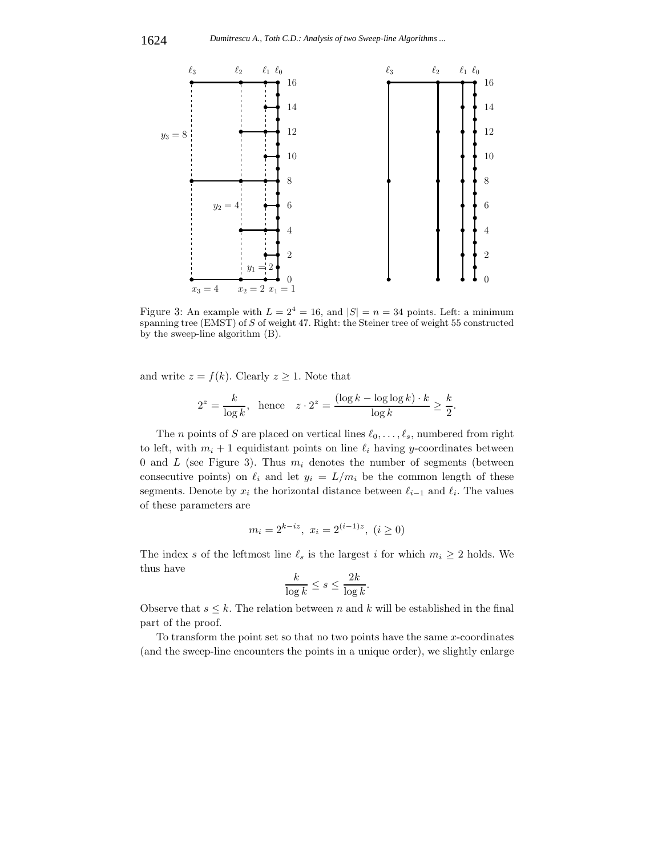

Figure 3: An example with  $L = 2^4 = 16$ , and  $|S| = n = 34$  points. Left: a minimum spanning tree (EMST) of S of weight 47. Right: the Steiner tree of weight 55 constructed by the sweep-line algorithm (B).

and write  $z = f(k)$ . Clearly  $z \geq 1$ . Note that

$$
2^{z} = \frac{k}{\log k}, \quad \text{hence} \quad z \cdot 2^{z} = \frac{(\log k - \log \log k) \cdot k}{\log k} \ge \frac{k}{2}.
$$

The *n* points of *S* are placed on vertical lines  $\ell_0, \ldots, \ell_s$ , numbered from right to left, with  $m_i + 1$  equidistant points on line  $\ell_i$  having y-coordinates between 0 and  $L$  (see Figure 3). Thus  $m_i$  denotes the number of segments (between consecutive points) on  $\ell_i$  and let  $y_i = L/m_i$  be the common length of these segments. Denote by  $x_i$  the horizontal distance between  $\ell_{i-1}$  and  $\ell_i$ . The values of these parameters are

$$
m_i = 2^{k - iz}, \ x_i = 2^{(i-1)z}, \ (i \ge 0)
$$

The index s of the leftmost line  $\ell_s$  is the largest i for which  $m_i \geq 2$  holds. We thus have

$$
\frac{k}{\log k} \le s \le \frac{2k}{\log k}.
$$

Observe that  $s \leq k$ . The relation between n and k will be established in the final part of the proof.

To transform the point set so that no two points have the same  $x$ -coordinates (and the sweep-line encounters the points in a unique order), we slightly enlarge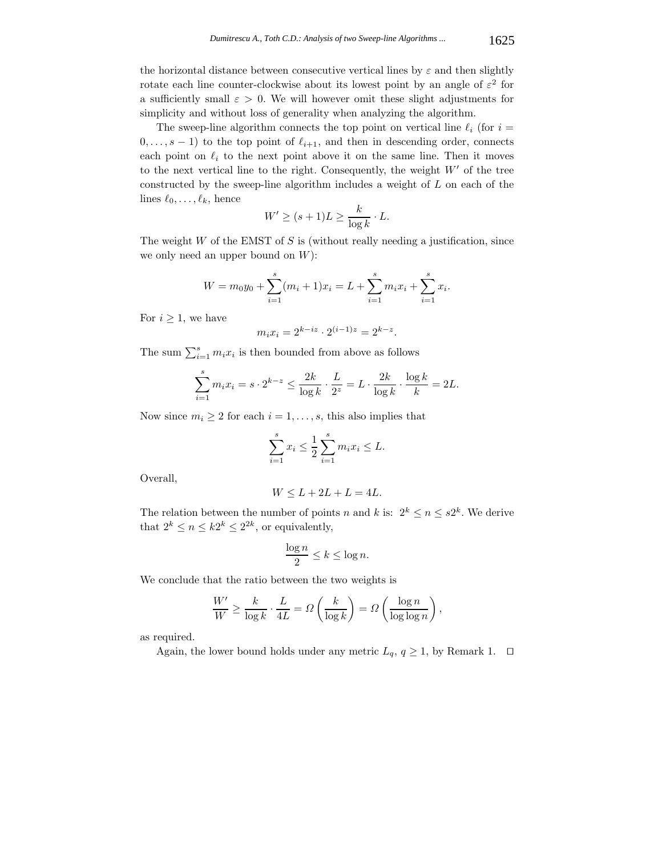the horizontal distance between consecutive vertical lines by  $\varepsilon$  and then slightly rotate each line counter-clockwise about its lowest point by an angle of  $\varepsilon^2$  for a sufficiently small  $\varepsilon > 0$ . We will however omit these slight adjustments for simplicity and without loss of generality when analyzing the algorithm.

The sweep-line algorithm connects the top point on vertical line  $\ell_i$  (for  $i =$  $(0,\ldots,s-1)$  to the top point of  $\ell_{i+1}$ , and then in descending order, connects each point on  $\ell_i$  to the next point above it on the same line. Then it moves to the next vertical line to the right. Consequently, the weight  $W'$  of the tree constructed by the sweep-line algorithm includes a weight of L on each of the lines  $\ell_0, \ldots, \ell_k$ , hence

$$
W' \ge (s+1)L \ge \frac{k}{\log k} \cdot L.
$$

The weight  $W$  of the EMST of  $S$  is (without really needing a justification, since we only need an upper bound on  $W$ ):

$$
W = m_0 y_0 + \sum_{i=1}^s (m_i + 1)x_i = L + \sum_{i=1}^s m_i x_i + \sum_{i=1}^s x_i.
$$

For  $i \geq 1$ , we have

$$
m_i x_i = 2^{k - iz} \cdot 2^{(i-1)z} = 2^{k - z}.
$$

The sum  $\sum_{i=1}^{s} m_i x_i$  is then bounded from above as follows

$$
\sum_{i=1}^{s} m_i x_i = s \cdot 2^{k-z} \le \frac{2k}{\log k} \cdot \frac{L}{2^z} = L \cdot \frac{2k}{\log k} \cdot \frac{\log k}{k} = 2L.
$$

Now since  $m_i \geq 2$  for each  $i = 1, \ldots, s$ , this also implies that

$$
\sum_{i=1}^{s} x_i \le \frac{1}{2} \sum_{i=1}^{s} m_i x_i \le L.
$$

Overall,

$$
W \le L + 2L + L = 4L.
$$

The relation between the number of points n and k is:  $2^k \le n \le s2^k$ . We derive that  $2^k \leq n \leq k2^k \leq 2^{2k}$ , or equivalently,

$$
\frac{\log n}{2} \le k \le \log n.
$$

We conclude that the ratio between the two weights is

$$
\frac{W'}{W} \ge \frac{k}{\log k} \cdot \frac{L}{4L} = \varOmega\left(\frac{k}{\log k}\right) = \varOmega\left(\frac{\log n}{\log \log n}\right),
$$

as required.

Again, the lower bound holds under any metric  $L_q$ ,  $q \ge 1$ , by Remark 1.  $\Box$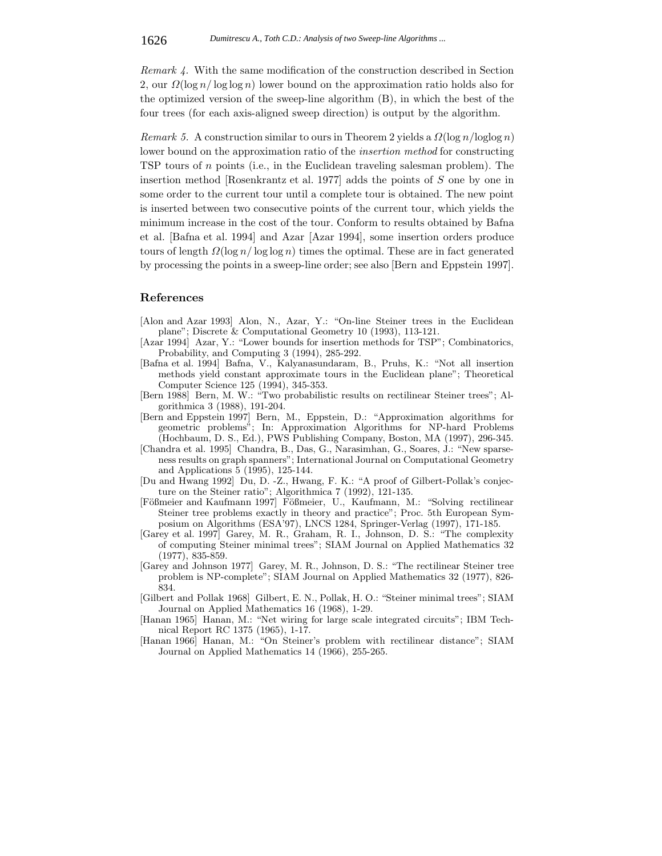*Remark 4.* With the same modification of the construction described in Section 2, our  $\Omega(\log n / \log \log n)$  lower bound on the approximation ratio holds also for the optimized version of the sweep-line algorithm (B), in which the best of the four trees (for each axis-aligned sweep direction) is output by the algorithm.

*Remark 5.* A construction similar to ours in Theorem 2 yields a  $\Omega(\log n / \log \log n)$ lower bound on the approximation ratio of the *insertion method* for constructing TSP tours of n points (i.e., in the Euclidean traveling salesman problem). The insertion method [Rosenkrantz et al. 1977] adds the points of S one by one in some order to the current tour until a complete tour is obtained. The new point is inserted between two consecutive points of the current tour, which yields the minimum increase in the cost of the tour. Conform to results obtained by Bafna et al. [Bafna et al. 1994] and Azar [Azar 1994], some insertion orders produce tours of length  $\Omega(\log n / \log \log n)$  times the optimal. These are in fact generated by processing the points in a sweep-line order; see also [Bern and Eppstein 1997].

# **References**

- [Alon and Azar 1993] Alon, N., Azar, Y.: "On-line Steiner trees in the Euclidean plane"; Discrete & Computational Geometry 10 (1993), 113-121.
- [Azar 1994] Azar, Y.: "Lower bounds for insertion methods for TSP"; Combinatorics, Probability, and Computing 3 (1994), 285-292.
- [Bafna et al. 1994] Bafna, V., Kalyanasundaram, B., Pruhs, K.: "Not all insertion methods yield constant approximate tours in the Euclidean plane"; Theoretical Computer Science 125 (1994), 345-353.
- [Bern 1988] Bern, M. W.: "Two probabilistic results on rectilinear Steiner trees"; Algorithmica 3 (1988), 191-204.
- [Bern and Eppstein 1997] Bern, M., Eppstein, D.: "Approximation algorithms for geometric problems"; In: Approximation Algorithms for NP-hard Problems (Hochbaum, D. S., Ed.), PWS Publishing Company, Boston, MA (1997), 296-345.
- [Chandra et al. 1995] Chandra, B., Das, G., Narasimhan, G., Soares, J.: "New sparseness results on graph spanners"; International Journal on Computational Geometry and Applications 5 (1995), 125-144.
- [Du and Hwang 1992] Du, D. -Z., Hwang, F. K.: "A proof of Gilbert-Pollak's conjecture on the Steiner ratio"; Algorithmica 7 (1992), 121-135.
- [Fößmeier and Kaufmann 1997] Fößmeier, U., Kaufmann, M.: "Solving rectilinear Steiner tree problems exactly in theory and practice"; Proc. 5th European Symposium on Algorithms (ESA'97), LNCS 1284, Springer-Verlag (1997), 171-185.
- [Garey et al. 1997] Garey, M. R., Graham, R. I., Johnson, D. S.: "The complexity of computing Steiner minimal trees"; SIAM Journal on Applied Mathematics 32 (1977), 835-859.
- [Garey and Johnson 1977] Garey, M. R., Johnson, D. S.: "The rectilinear Steiner tree problem is NP-complete"; SIAM Journal on Applied Mathematics 32 (1977), 826- 834.
- [Gilbert and Pollak 1968] Gilbert, E. N., Pollak, H. O.: "Steiner minimal trees"; SIAM Journal on Applied Mathematics 16 (1968), 1-29.
- [Hanan 1965] Hanan, M.: "Net wiring for large scale integrated circuits"; IBM Technical Report RC 1375 (1965), 1-17.
- [Hanan 1966] Hanan, M.: "On Steiner's problem with rectilinear distance"; SIAM Journal on Applied Mathematics 14 (1966), 255-265.